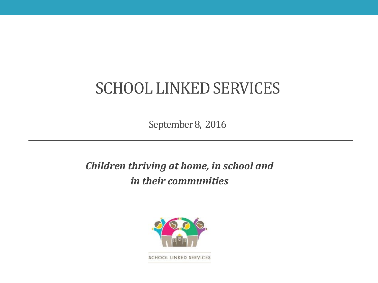## SCHOOL LINKED SERVICES

September 8, 2016

#### *Children thriving at home, in school and in their communities*

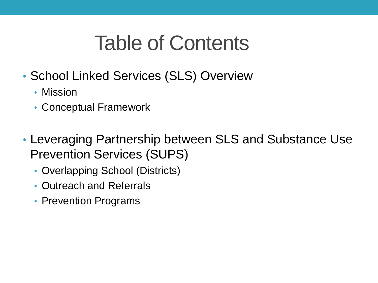# Table of Contents

- School Linked Services (SLS) Overview
	- Mission
	- Conceptual Framework
- Leveraging Partnership between SLS and Substance Use Prevention Services (SUPS)
	- Overlapping School (Districts)
	- Outreach and Referrals
	- Prevention Programs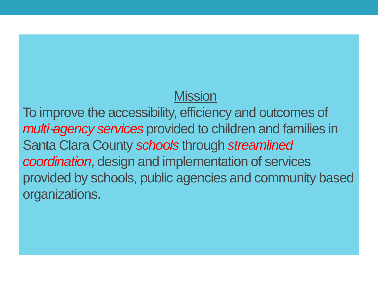### **Mission**

To improve the accessibility, efficiency and outcomes of *multi-agency services* provided to children and families in Santa Clara County *schools* through *streamlined coordination*, design and implementation of services provided by schools, public agencies and community based organizations.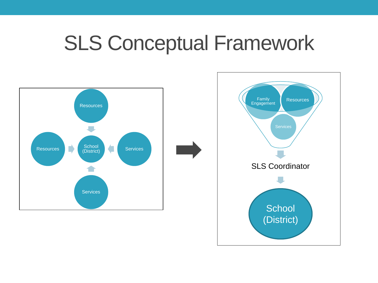## SLS Conceptual Framework



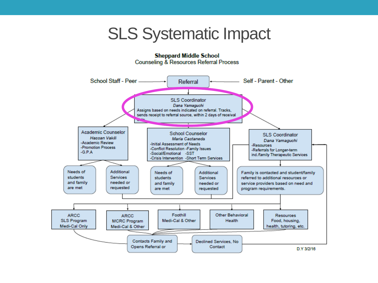## SLS Systematic Impact

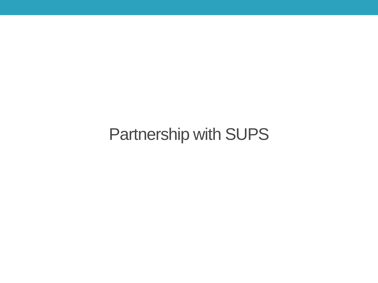Partnership with SUPS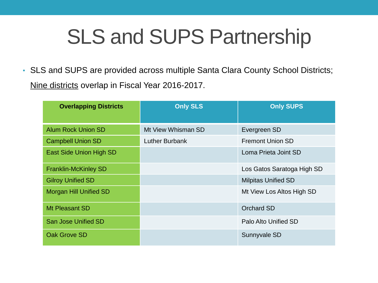# SLS and SUPS Partnership

• SLS and SUPS are provided across multiple Santa Clara County School Districts; Nine districts overlap in Fiscal Year 2016-2017.

| <b>Overlapping Districts</b> | <b>Only SLS</b>       | <b>Only SUPS</b>           |
|------------------------------|-----------------------|----------------------------|
| <b>Alum Rock Union SD</b>    | Mt View Whisman SD    | Evergreen SD               |
| <b>Campbell Union SD</b>     | <b>Luther Burbank</b> | <b>Fremont Union SD</b>    |
| East Side Union High SD      |                       | Loma Prieta Joint SD       |
| <b>Franklin-McKinley SD</b>  |                       | Los Gatos Saratoga High SD |
| <b>Gilroy Unified SD</b>     |                       | <b>Milpitas Unified SD</b> |
| Morgan Hill Unified SD       |                       | Mt View Los Altos High SD  |
| Mt Pleasant SD               |                       | <b>Orchard SD</b>          |
| <b>San Jose Unified SD</b>   |                       | Palo Alto Unified SD       |
| Oak Grove SD                 |                       | Sunnyvale SD               |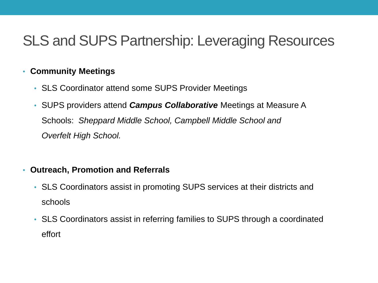### SLS and SUPS Partnership: Leveraging Resources

#### • **Community Meetings**

- SLS Coordinator attend some SUPS Provider Meetings
- SUPS providers attend *Campus Collaborative* Meetings at Measure A Schools: *Sheppard Middle School, Campbell Middle School and Overfelt High School.*

#### • **Outreach, Promotion and Referrals**

- SLS Coordinators assist in promoting SUPS services at their districts and schools
- SLS Coordinators assist in referring families to SUPS through a coordinated effort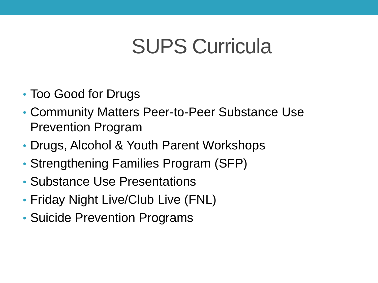# SUPS Curricula

- Too Good for Drugs
- Community Matters Peer-to-Peer Substance Use Prevention Program
- Drugs, Alcohol & Youth Parent Workshops
- Strengthening Families Program (SFP)
- Substance Use Presentations
- Friday Night Live/Club Live (FNL)
- Suicide Prevention Programs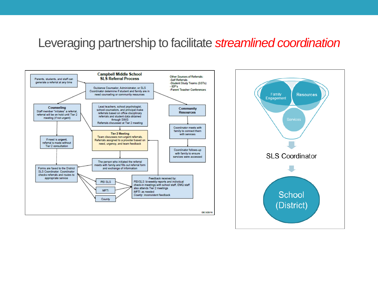#### Leveraging partnership to facilitate *streamlined coordination*